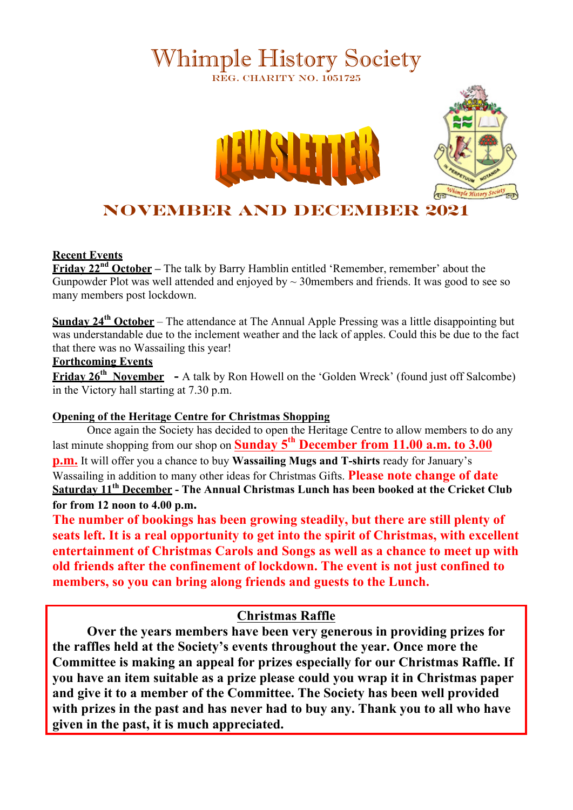# Whimple History Society REG. CHARITY NO. 1051725





# **November and December 2021**

#### **Recent Events**

**Friday 22<sup>nd</sup> October** – The talk by Barry Hamblin entitled 'Remember, remember' about the Gunpowder Plot was well attended and enjoyed by  $\sim$  30 members and friends. It was good to see so many members post lockdown.

**Sunday 24th October** – The attendance at The Annual Apple Pressing was a little disappointing but was understandable due to the inclement weather and the lack of apples. Could this be due to the fact that there was no Wassailing this year!

#### **Forthcoming Events**

**Friday 26<sup>th</sup> November** - A talk by Ron Howell on the 'Golden Wreck' (found just off Salcombe) in the Victory hall starting at 7.30 p.m.

#### **Opening of the Heritage Centre for Christmas Shopping**

Once again the Society has decided to open the Heritage Centre to allow members to do any last minute shopping from our shop on **Sunday 5th December from 11.00 a.m. to 3.00 p.m.** It will offer you a chance to buy **Wassailing Mugs and T-shirts** ready for January's Wassailing in addition to many other ideas for Christmas Gifts. **Please note change of date Saturday 11th December - The Annual Christmas Lunch has been booked at the Cricket Club for from 12 noon to 4.00 p.m.**

**The number of bookings has been growing steadily, but there are still plenty of seats left. It is a real opportunity to get into the spirit of Christmas, with excellent entertainment of Christmas Carols and Songs as well as a chance to meet up with old friends after the confinement of lockdown. The event is not just confined to members, so you can bring along friends and guests to the Lunch.**

### **Christmas Raffle**

**Over the years members have been very generous in providing prizes for the raffles held at the Society's events throughout the year. Once more the Committee is making an appeal for prizes especially for our Christmas Raffle. If you have an item suitable as a prize please could you wrap it in Christmas paper and give it to a member of the Committee. The Society has been well provided with prizes in the past and has never had to buy any. Thank you to all who have given in the past, it is much appreciated.**